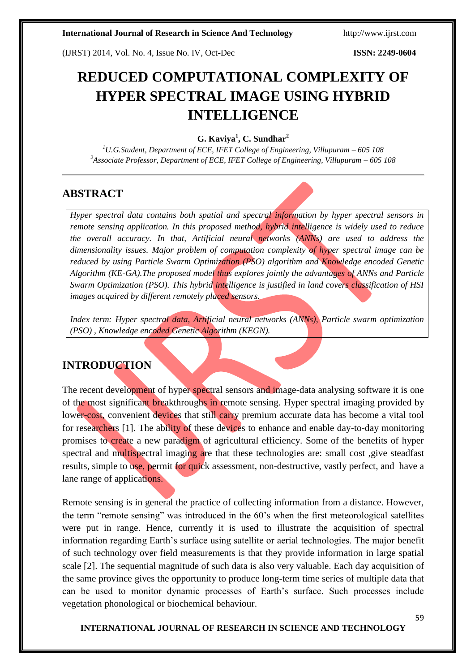(IJRST) 2014, Vol. No. 4, Issue No. IV, Oct-Dec **ISSN: 2249-0604**

# **REDUCED COMPUTATIONAL COMPLEXITY OF HYPER SPECTRAL IMAGE USING HYBRID INTELLIGENCE**

# **G. Kaviya<sup>1</sup> , C. Sundhar<sup>2</sup>**

*<sup>1</sup>U.G.Student, Department of ECE, IFET College of Engineering, Villupuram – 605 108 <sup>2</sup>Associate Professor, Department of ECE, IFET College of Engineering, Villupuram – 605 108*

# **ABSTRACT**

*Hyper spectral data contains both spatial and spectral information by hyper spectral sensors in remote sensing application. In this proposed method, hybrid intelligence is widely used to reduce the overall accuracy. In that, Artificial neural networks (ANNs) are used to address the dimensionality issues. Major problem of computation complexity of hyper spectral image can be reduced by using Particle Swarm Optimization (PSO) algorithm and Knowledge encoded Genetic Algorithm (KE-GA).The proposed model thus explores jointly the advantages of ANNs and Particle Swarm Optimization (PSO). This hybrid intelligence is justified in land covers classification of HSI images acquired by different remotely placed sensors.*

*Index term: Hyper spectral data, Artificial neural networks (ANNs), Particle swarm optimization (PSO) , Knowledge encoded Genetic Algorithm (KEGN).*

# **INTRODUCTION**

The recent development of hyper spectral sensors and image-data analysing software it is one of the most significant breakthroughs in remote sensing. Hyper spectral imaging provided by lower-cost, convenient devices that still carry premium accurate data has become a vital tool for researchers [1]. The ability of these devices to enhance and enable day-to-day monitoring promises to create a new paradigm of agricultural efficiency. Some of the benefits of hyper spectral and multispectral imaging are that these technologies are: small cost ,give steadfast results, simple to use, permit for quick assessment, non-destructive, vastly perfect, and have a lane range of applications.

Remote sensing is in general the practice of collecting information from a distance. However, the term "remote sensing" was introduced in the 60"s when the first meteorological satellites were put in range. Hence, currently it is used to illustrate the acquisition of spectral information regarding Earth's surface using satellite or aerial technologies. The major benefit of such technology over field measurements is that they provide information in large spatial scale [2]. The sequential magnitude of such data is also very valuable. Each day acquisition of the same province gives the opportunity to produce long-term time series of multiple data that can be used to monitor dynamic processes of Earth"s surface. Such processes include vegetation phonological or biochemical behaviour.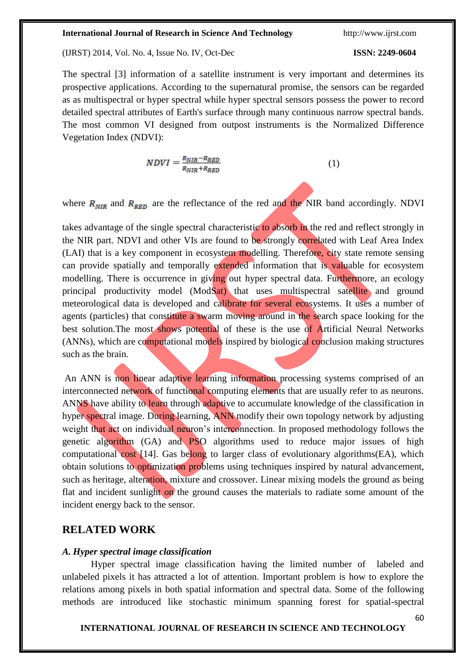(IJRST) 2014, Vol. No. 4, Issue No. IV, Oct-Dec **ISSN: 2249-0604**

# **INTERNATIONAL JOURNAL OF RESEARCH IN SCIENCE AND TECHNOLOGY**

The spectral [3] information of a satellite instrument is very important and determines its prospective applications. According to the supernatural promise, the sensors can be regarded as as multispectral or hyper spectral while hyper spectral sensors possess the power to record detailed spectral attributes of Earth's surface through many continuous narrow spectral bands. The most common VI designed from outpost instruments is the Normalized Difference Vegetation Index (NDVI):

$$
NDVI = \frac{R_{NIR} - R_{RED}}{R_{NIR} + R_{RED}}\tag{1}
$$

where  $R_{NIR}$  and  $R_{RED}$  are the reflectance of the red and the NIR band accordingly. NDVI

takes advantage of the single spectral characteristic to absorb in the red and reflect strongly in the NIR part. NDVI and other VIs are found to be strongly correlated with Leaf Area Index (LAI) that is a key component in ecosystem modelling. Therefore, city state remote sensing can provide spatially and temporally extended information that is valuable for ecosystem modelling. There is occurrence in giving out hyper spectral data. Furthermore, an ecology principal productivity model (ModSat) that uses multispectral satellite and ground meteorological data is developed and calibrate for several ecosystems. It uses a number of agents (particles) that constitute a swarm moving around in the search space looking for the best solution.The most shows potential of these is the use of Artificial Neural Networks (ANNs), which are computational models inspired by biological conclusion making structures such as the brain.

An ANN is non linear adaptive learning information processing systems comprised of an interconnected network of functional computing elements that are usually refer to as neurons. ANNS have ability to learn through adaptive to accumulate knowledge of the classification in hyper spectral image. During learning, ANN modify their own topology network by adjusting weight that act on individual neuron's interconnection. In proposed methodology follows the genetic algorithm (GA) and PSO algorithms used to reduce major issues of high computational cost [14]. Gas belong to larger class of evolutionary algorithms(EA), which obtain solutions to optimization problems using techniques inspired by natural advancement, such as heritage, alteration, mixture and crossover. Linear mixing models the ground as being flat and incident sunlight on the ground causes the materials to radiate some amount of the incident energy back to the sensor.

# **RELATED WORK**

# *A. Hyper spectral image classification*

Hyper spectral image classification having the limited number of labeled and unlabeled pixels it has attracted a lot of attention. Important problem is how to explore the relations among pixels in both spatial information and spectral data. Some of the following methods are introduced like stochastic minimum spanning forest for spatial-spectral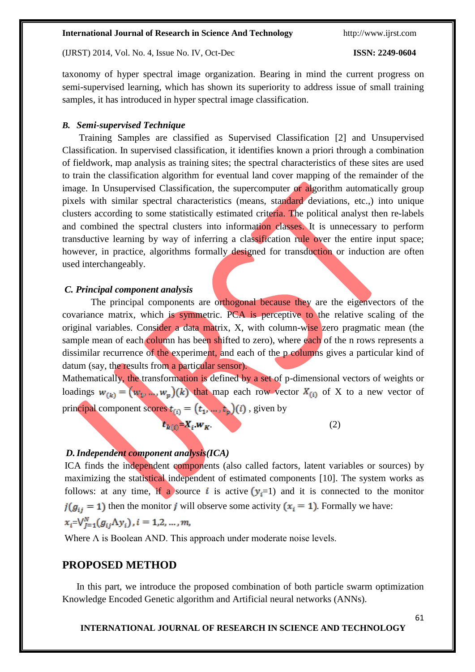(IJRST) 2014, Vol. No. 4, Issue No. IV, Oct-Dec **ISSN: 2249-0604**

taxonomy of hyper spectral image organization. Bearing in mind the current progress on semi-supervised learning, which has shown its superiority to address issue of small training samples, it has introduced in hyper spectral image classification.

# *B. Semi-supervised Technique*

Training Samples are classified as Supervised Classification [2] and Unsupervised Classification. In supervised classification, it identifies known a priori through a combination of fieldwork, map analysis as training sites; the spectral characteristics of these sites are used to train the classification algorithm for eventual land cover mapping of the remainder of the image. In Unsupervised Classification, the supercomputer or algorithm automatically group pixels with similar spectral characteristics (means, standard deviations, etc.,) into unique clusters according to some statistically estimated criteria. The political analyst then re-labels and combined the spectral clusters into information classes. It is unnecessary to perform transductive learning by way of inferring a classification rule over the entire input space; however, in practice, algorithms formally designed for transduction or induction are often used interchangeably.

# *C. Principal component analysis*

The principal components are orthogonal because they are the eigenvectors of the covariance matrix, which is symmetric. PCA is perceptive to the relative scaling of the original variables. Consider a data matrix, X, with column-wise zero pragmatic mean (the sample mean of each column has been shifted to zero), where each of the n rows represents a dissimilar recurrence of the experiment, and each of the p columns gives a particular kind of datum (say, the results from a particular sensor).

Mathematically, the transformation is defined by a set of p-dimensional vectors of weights or loadings  $w_{(k)} = (w_1, ..., w_p)(k)$  that map each row vector  $X_{(i)}$  of X to a new vector of principal component scores  $t_{(i)} = (t_1, \ldots, t_p)(i)$ , given by

$$
t_{k(i)} = X_i w_K \tag{2}
$$

# *D.Independent component analysis(ICA)*

ICA finds the independent components (also called factors, latent variables or sources) by maximizing the statistical independent of estimated components [10]. The system works as follows: at any time, if a source i is active  $(y<sub>i</sub>=1)$  and it is connected to the monitor  $t(g_{ij} = 1)$  then the monitor j will observe some activity  $(x_i = 1)$ . Formally we have:  $x_i = \bigvee_{i=1}^{N} (g_{ij} \Lambda y_i), i = 1, 2, ..., m,$ 

Where  $\Lambda$  is Boolean AND. This approach under moderate noise levels.

# **PROPOSED METHOD**

In this part, we introduce the proposed combination of both particle swarm optimization Knowledge Encoded Genetic algorithm and Artificial neural networks (ANNs).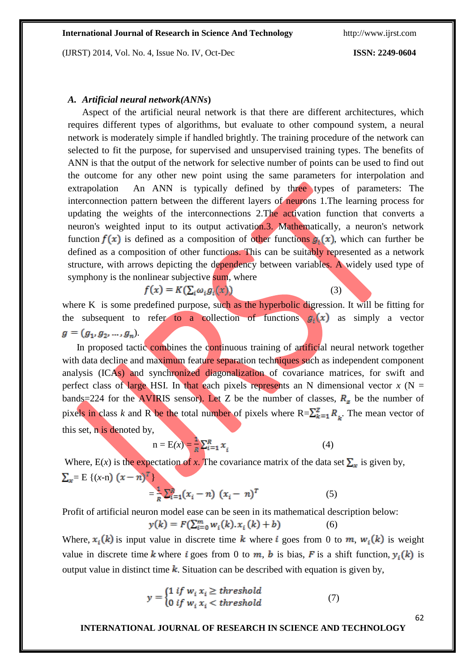(IJRST) 2014, Vol. No. 4, Issue No. IV, Oct-Dec **ISSN: 2249-0604**

# *A. Artificial neural network(ANNs***)**

Aspect of the artificial neural network is that there are different architectures, which requires different types of algorithms, but evaluate to other compound system, a neural network is moderately simple if handled brightly. The training procedure of the network can selected to fit the purpose, for supervised and unsupervised training types. The benefits of ANN is that the output of the network for selective number of points can be used to find out the outcome for any other new point using the same parameters for interpolation and extrapolation An ANN is typically defined by three types of parameters: The interconnection pattern between the different layers of neurons 1.The learning process for updating the weights of the interconnections 2.The activation function that converts a neuron's weighted input to its output activation.3. Mathematically, a neuron's network function  $f(x)$  is defined as a composition of other functions  $g_k(x)$ , which can further be defined as a composition of other functions. This can be suitably represented as a network structure, with arrows depicting the dependency between variables. A widely used type of symphony is the nonlinear subjective sum, where

$$
f(x) = K(\sum_i \omega_i g_i(x))
$$

 $(3)$ 

where K is some predefined purpose, such as the hyperbolic digression. It will be fitting for the subsequent to refer to a collection of functions  $g_i(x)$  as simply a vector  $g=(g_1,g_2,...,g_n).$ 

In proposed tactic combines the continuous training of artificial neural network together with data decline and maximum feature separation techniques such as independent component analysis (ICAs) and synchronized diagonalization of covariance matrices, for swift and perfect class of large HSI. In that each pixels represents an N dimensional vector  $x$  (N = bands=224 for the AVIRIS sensor). Let Z be the number of classes,  $R<sub>z</sub>$  be the number of pixels in class *k* and R be the total number of pixels where  $R = \sum_{k=1}^{Z} R_{k}$ . The mean vector of this set, n is denoted by,

$$
n = E(x) = \frac{1}{E} \sum_{i=1}^{R} x_i
$$
 (4)

Where,  $E(x)$  is the expectation of *x*. The covariance matrix of the data set  $\sum_{x}$  is given by,  $\sum_{x}$ = E {(*x*-n)  $(x - n)^{T}$ }

$$
=\frac{1}{R}\sum_{i=1}^{R}(x_i - n) (x_i - n)^T
$$
 (5)

Profit of artificial neuron model ease can be seen in its mathematical description below:

$$
y(k) = F(\sum_{i=0}^{m} w_i(k).x_i(k) + b)
$$
 (6)

Where,  $x_i(k)$  is input value in discrete time k where i goes from 0 to m,  $w_i(k)$  is weight value in discrete time k where i goes from 0 to m, b is bias, F is a shift function,  $y_i(k)$  is output value in distinct time  $\bf{k}$ . Situation can be described with equation is given by,

$$
y = \begin{cases} 1 & \text{if } w_i \, x_i \ge \text{threshold} \\ 0 & \text{if } w_i \, x_i < \text{threshold} \end{cases} \tag{7}
$$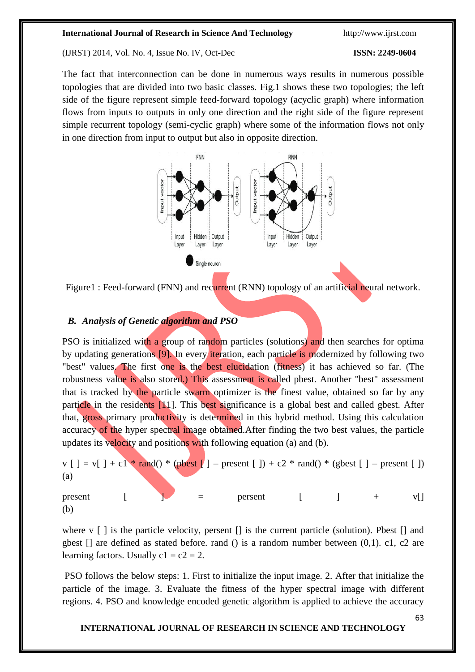(IJRST) 2014, Vol. No. 4, Issue No. IV, Oct-Dec **ISSN: 2249-0604**

The fact that interconnection can be done in numerous ways results in numerous possible topologies that are divided into two basic classes. Fig.1 shows these two topologies; the left side of the figure represent simple feed-forward topology (acyclic graph) where information flows from inputs to outputs in only one direction and the right side of the figure represent simple recurrent topology (semi-cyclic graph) where some of the information flows not only in one direction from input to output but also in opposite direction.





# *B. Analysis of Genetic algorithm and PSO*

PSO is initialized with a group of random particles (solutions) and then searches for optima by updating generations [9]. In every iteration, each particle is modernized by following two "best" values. The first one is the best elucidation (fitness) it has achieved so far. (The robustness value is also stored.) This assessment is called pbest. Another "best" assessment that is tracked by the particle swarm optimizer is the finest value, obtained so far by any particle in the residents [11]. This best significance is a global best and called gbest. After that, gross primary productivity is determined in this hybrid method. Using this calculation accuracy of the hyper spectral image obtained. After finding the two best values, the particle updates its velocity and positions with following equation (a) and (b).

 $v \mid \ ] = v \mid \ ] + c \cdot \sqrt{2 \cdot \text{rand}(v \cdot \text{}}$  (pbest  $\lceil \ ]$  – present  $\lceil \ ]$ ) + c2 \* rand() \* (gbest  $\lceil \ ]$  – present  $\lceil \ ]$ ) (a) present  $\begin{bmatrix} 1 & 1 & 1 \\ 1 & 1 & 1 \end{bmatrix}$  = persent  $\begin{bmatrix} 1 & 1 & + & 1 \\ 1 & 1 & 1 \end{bmatrix}$ 

(b)

where  $v \mid \cdot$  is the particle velocity, persent  $\mid \cdot \mid$  is the current particle (solution). Pbest  $\mid \cdot \mid$  and gbest  $\Box$  are defined as stated before. rand () is a random number between  $(0,1)$ . c1, c2 are learning factors. Usually  $c1 = c2 = 2$ .

PSO follows the below steps: 1. First to initialize the input image. 2. After that initialize the particle of the image. 3. Evaluate the fitness of the hyper spectral image with different regions. 4. PSO and knowledge encoded genetic algorithm is applied to achieve the accuracy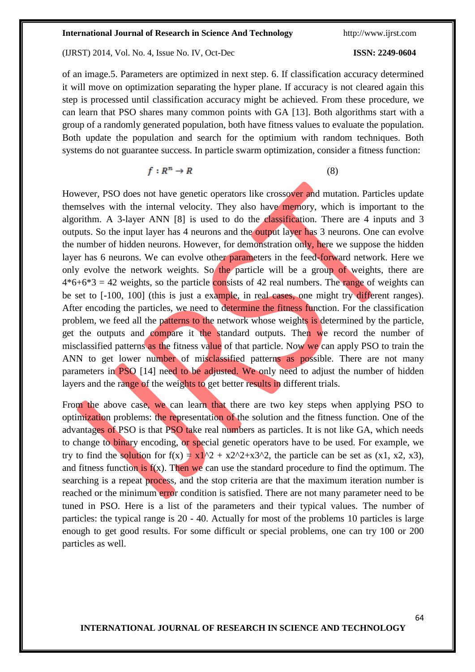(IJRST) 2014, Vol. No. 4, Issue No. IV, Oct-Dec **ISSN: 2249-0604**

64

of an image.5. Parameters are optimized in next step. 6. If classification accuracy determined it will move on optimization separating the hyper plane. If accuracy is not cleared again this step is processed until classification accuracy might be achieved. From these procedure, we can learn that PSO shares many common points with GA [13]. Both algorithms start with a group of a randomly generated population, both have fitness values to evaluate the population. Both update the population and search for the optimium with random techniques. Both systems do not guarantee success. In particle swarm optimization, consider a fitness function:

(8)

However, PSO does not have genetic operators like crossover and mutation. Particles update themselves with the internal velocity. They also have memory, which is important to the algorithm. A 3-layer ANN [8] is used to do the classification. There are 4 inputs and 3 outputs. So the input layer has 4 neurons and the output layer has 3 neurons. One can evolve the number of hidden neurons. However, for demonstration only, here we suppose the hidden layer has 6 neurons. We can evolve other parameters in the feed-forward network. Here we only evolve the network weights. So the particle will be a group of weights, there are  $4*6+6*3 = 42$  weights, so the particle consists of 42 real numbers. The range of weights can be set to  $[-100, 100]$  (this is just a example, in real cases, one might try different ranges). After encoding the particles, we need to determine the fitness function. For the classification problem, we feed all the patterns to the network whose weights is determined by the particle, get the outputs and compare it the standard outputs. Then we record the number of misclassified patterns as the fitness value of that particle. Now we can apply PSO to train the ANN to get lower number of misclassified patterns as possible. There are not many parameters in PSO [14] need to be adjusted. We only need to adjust the number of hidden layers and the range of the weights to get better results in different trials.

From the above case, we can learn that there are two key steps when applying PSO to optimization problems: the representation of the solution and the fitness function. One of the advantages of PSO is that PSO take real numbers as particles. It is not like GA, which needs to change to binary encoding, or special genetic operators have to be used. For example, we try to find the solution for  $f(x) = x1^2 + x2^2 + x3^2$ , the particle can be set as (x1, x2, x3), and fitness function is  $f(x)$ . Then we can use the standard procedure to find the optimum. The searching is a repeat process, and the stop criteria are that the maximum iteration number is reached or the minimum error condition is satisfied. There are not many parameter need to be tuned in PSO. Here is a list of the parameters and their typical values. The number of particles: the typical range is 20 - 40. Actually for most of the problems 10 particles is large enough to get good results. For some difficult or special problems, one can try 100 or 200 particles as well.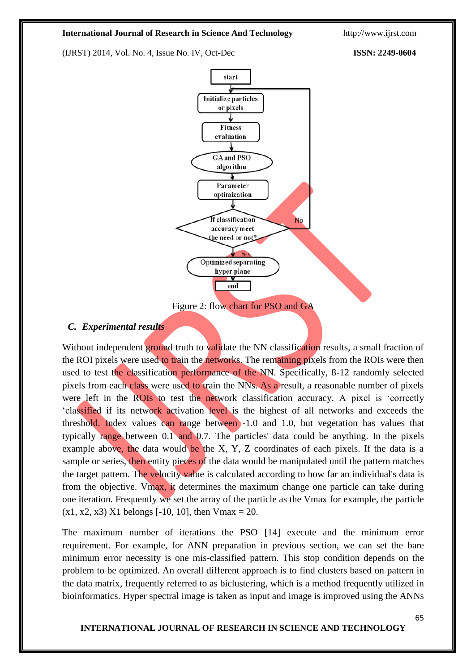(IJRST) 2014, Vol. No. 4, Issue No. IV, Oct-Dec **ISSN: 2249-0604**



# *C. Experimental results*

Without independent ground truth to validate the NN classification results, a small fraction of the ROI pixels were used to train the networks. The remaining pixels from the ROIs were then used to test the classification performance of the NN. Specifically, 8-12 randomly selected pixels from each class were used to train the NNs. As a result, a reasonable number of pixels were left in the ROIs to test the network classification accuracy. A pixel is 'correctly "classified if its network activation level is the highest of all networks and exceeds the threshold. Index values can range between -1.0 and 1.0, but vegetation has values that typically range between 0.1 and 0.7. The particles' data could be anything. In the pixels example above, the data would be the X, Y, Z coordinates of each pixels. If the data is a sample or series, then entity pieces of the data would be manipulated until the pattern matches the target pattern. The velocity value is calculated according to how far an individual's data is from the objective. Vmax, it determines the maximum change one particle can take during one iteration. Frequently we set the array of the particle as the Vmax for example, the particle  $(x1, x2, x3)$  X1 belongs [-10, 10], then Vmax = 20.

The maximum number of iterations the PSO [14] execute and the minimum error requirement. For example, for ANN preparation in previous section, we can set the bare minimum error necessity is one mis-classified pattern. This stop condition depends on the problem to be optimized. An overall different approach is to find clusters based on [pattern](http://en.wikipedia.org/wiki/Pattern) in the data matrix, frequently referred to as [biclustering,](http://en.wikipedia.org/wiki/Biclustering) which is a method frequently utilized in [bioinformatics.](http://en.wikipedia.org/wiki/Bioinformatics) Hyper spectral image is taken as input and image is improved using the ANNs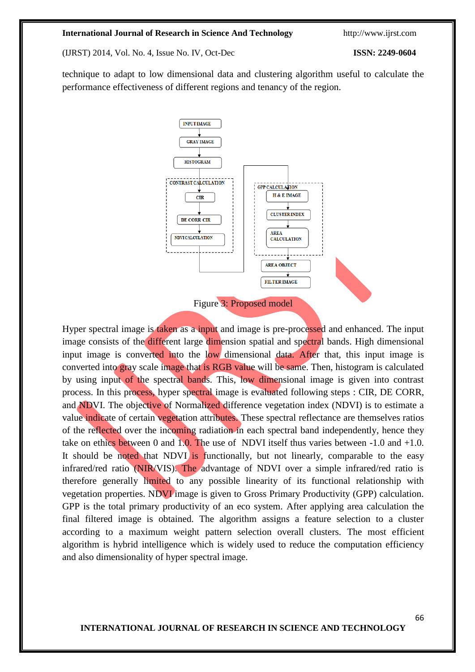(IJRST) 2014, Vol. No. 4, Issue No. IV, Oct-Dec **ISSN: 2249-0604**

technique to adapt to low dimensional data and clustering algorithm useful to calculate the performance effectiveness of different regions and tenancy of the region.



Hyper spectral image is taken as a input and image is pre-processed and enhanced. The input image consists of the different large dimension spatial and spectral bands. High dimensional input image is converted into the low dimensional data. After that, this input image is converted into gray scale image that is RGB value will be same. Then, histogram is calculated by using input of the spectral bands. This, low dimensional image is given into contrast process. In this process, hyper spectral image is evaluated following steps : CIR, DE CORR, and NDVI. The objective of Normalized difference vegetation index (NDVI) is to estimate a value indicate of certain vegetation attributes. These spectral reflectance are themselves ratios of the reflected over the incoming radiation in each spectral band independently, hence they take on ethics between 0 and 1.0. The use of NDVI itself thus varies between  $-1.0$  and  $+1.0$ . It should be noted that NDVI is functionally, but not linearly, comparable to the easy infrared/red ratio (NIR/VIS). The advantage of NDVI over a simple infrared/red ratio is therefore generally limited to any possible linearity of its functional relationship with vegetation properties. NDVI image is given to Gross Primary Productivity (GPP) calculation. GPP is the total primary productivity of an eco system. After applying area calculation the final filtered image is obtained. The algorithm assigns a feature selection to a cluster according to a maximum weight pattern selection overall clusters. The most efficient algorithm is hybrid intelligence which is widely used to reduce the computation efficiency and also dimensionality of hyper spectral image.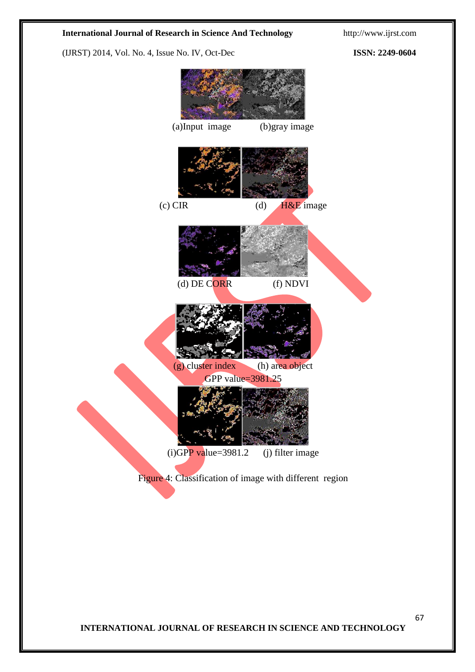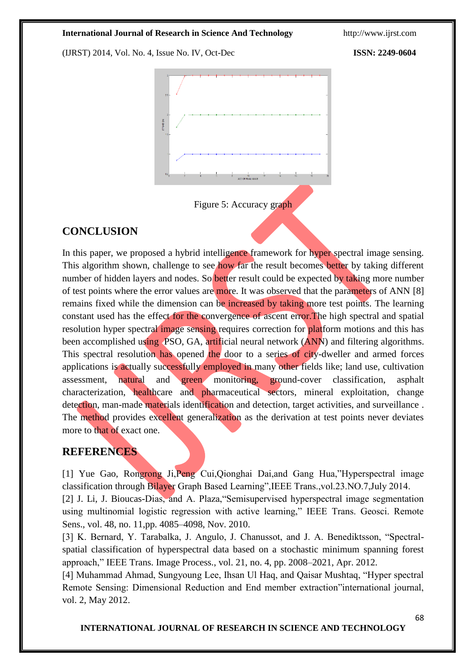(IJRST) 2014, Vol. No. 4, Issue No. IV, Oct-Dec **ISSN: 2249-0604**





# **CONCLUSION**

In this paper, we proposed a hybrid intelligence framework for hyper spectral image sensing. This algorithm shown, challenge to see how far the result becomes better by taking different number of hidden layers and nodes. So better result could be expected by taking more number of test points where the error values are more. It was observed that the parameters of ANN [8] remains fixed while the dimension can be increased by taking more test points. The learning constant used has the effect for the convergence of ascent error.The high spectral and spatial resolution hyper spectral image sensing requires correction for platform motions and this has been accomplished using PSO, GA, artificial neural network (ANN) and filtering algorithms. This spectral resolution has opened the door to a series of city-dweller and armed forces applications is actually successfully employed in many other fields like; land use, cultivation assessment, natural and green monitoring, ground-cover classification, asphalt characterization, healthcare and pharmaceutical sectors, mineral exploitation, change detection, man-made materials identification and detection, target activities, and surveillance. The method provides excellent generalization as the derivation at test points never deviates more to that of exact one.

# **REFERENCES**

[1] Yue Gao, Rongrong Ji,Peng Cui,Qionghai Dai,and Gang Hua,"Hyperspectral image classification through Bilayer Graph Based Learning",IEEE Trans.,vol.23.NO.7,July 2014. [2] J. Li, J. Bioucas-Dias, and A. Plaza,"Semisupervised hyperspectral image segmentation using multinomial logistic regression with active learning," IEEE Trans. Geosci. Remote Sens., vol. 48, no. 11,pp. 4085–4098, Nov. 2010.

[3] K. Bernard, Y. Tarabalka, J. Angulo, J. Chanussot, and J. A. Benediktsson, "Spectralspatial classification of hyperspectral data based on a stochastic minimum spanning forest approach," IEEE Trans. Image Process., vol. 21, no. 4, pp. 2008–2021, Apr. 2012.

[4] Muhammad Ahmad, Sungyoung Lee, Ihsan Ul Haq, and Qaisar Mushtaq, "Hyper spectral Remote Sensing: Dimensional Reduction and End member extraction"international journal, vol. 2, May 2012.